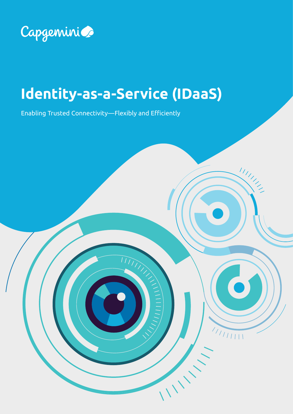

# **Identity-as-a-Service (IDaaS)**

III ANDREW

 $\begin{array}{c|c} \begin{array}{c} \begin{array}{c} \end{array} \\ \begin{array}{c} \end{array} \\ \begin{array}{c} \end{array} \\ \begin{array}{c} \end{array} \end{array} \end{array}$ 

IIIII

Enabling Trusted Connectivity—Flexibly and Efficiently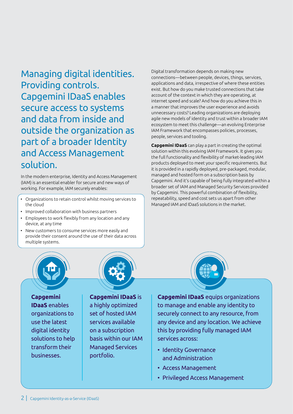Managing digital identities. Providing controls. Capgemini IDaaS enables secure access to systems and data from inside and outside the organization as part of a broader Identity and Access Management solution.

In the modern enterprise, Identity and Access Management (IAM) is an essential enabler for secure and new ways of working. For example, IAM securely enables:

- Organizations to retain control whilst moving services to the cloud
- Improved collaboration with business partners
- Employees to work flexibly from any location and any device, at any time
- New customers to consume services more easily and provide their consent around the use of their data across multiple systems.



**Capgemini IDaaS** enables organizations to use the latest digital identity solutions to help transform their businesses.

**Capgemini IDaaS** is a highly optimized set of hosted IAM services available on a subscription basis within our IAM Managed Services portfolio.

Digital transformation depends on making new connections—between people, devices, things, services, applications and data, irrespective of where these entities exist. But how do you make trusted connections that take account of the context in which they are operating, at internet speed and scale? And how do you achieve this in a manner that improves the user experience and avoids unnecessary costs? Leading organizations are deploying agile new models of identity and trust within a broader IAM ecosystem to meet this challenge—an evolving Enterprise IAM Framework that encompasses policies, processes, people, services and tooling.

**Capgemini IDaaS** can play a part in creating the optimal solution within this evolving IAM Framework. It gives you the full functionality and flexibility of market-leading IAM products deployed to meet your specific requirements. But it is provided in a rapidly deployed, pre-packaged, modular, managed and hosted form on a subscription basis by Capgemini. And it's capable of being fully integrated within a broader set of IAM and Managed Security Services provided by Capgemini. This powerful combination of flexibility, repeatability, speed and cost sets us apart from other Managed IAM and IDaaS solutions in the market.



**Capgemini IDaaS** equips organizations to manage and enable any identity to securely connect to any resource, from any device and any location. We achieve this by providing fully managed IAM services across:

- Identity Governance and Administration
- Access Management
- Privileged Access Management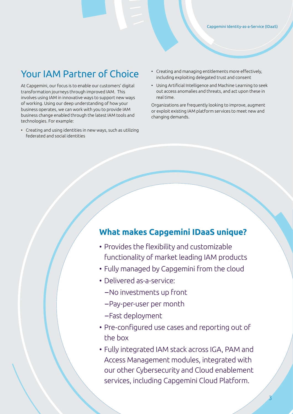### Your IAM Partner of Choice

At Capgemini, our focus is to enable our customers' digital transformation journeys through improved IAM. This involves using IAM in innovative ways to support new ways of working. Using our deep understanding of how your business operates, we can work with you to provide IAM business change enabled through the latest IAM tools and technologies. For example:

• Creating and using identities in new ways, such as utilizing federated and social identities

- Creating and managing entitlements more effectively, including exploiting delegated trust and consent
- Using Artificial Intelligence and Machine Learning to seek out access anomalies and threats, and act upon these in real time.

Organizations are frequently looking to improve, augment or exploit existing IAM platform services to meet new and changing demands.

#### **What makes Capgemini IDaaS unique?**

- Provides the flexibility and customizable functionality of market leading IAM products
- Fully managed by Capgemini from the cloud
- Delivered as-a-service:
	- –No investments up front
	- –Pay-per-user per month
	- –Fast deployment
- Pre-configured use cases and reporting out of the box
- Fully integrated IAM stack across IGA, PAM and Access Management modules, integrated with our other Cybersecurity and Cloud enablement services, including Capgemini Cloud Platform.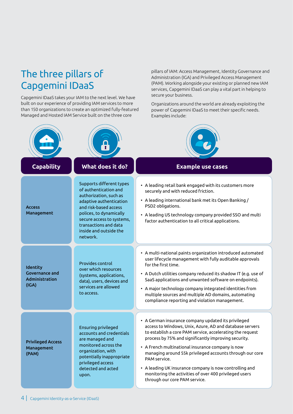## The three pillars of Capgemini IDaaS

Capgemini IDaaS takes your IAM to the next level. We have built on our experience of providing IAM services to more than 150 organizations to create an optimized fully-featured Managed and Hosted IAM Service built on the three core

**Access** Management Identity Governance and Administration (IGA) Privileged Access Management (PAM) Supports different types of authentication and authorization, such as adaptive authentication and risk-based access polices, to dynamically secure access to systems, transactions and data inside and outside the network. **Capability What does it do? Example use cases** Provides control over which resources (systems, applications, data), users, devices and services are allowed to access. Ensuring privileged accounts and credentials are managed and monitored across the organization, with potentially inappropriate privileged access detected and acted upon. • A leading retail bank engaged with its customers more securely and with reduced friction. • A leading international bank met its Open Banking / PSD2 obligations. • A leading US technology company provided SSO and multi factor authentication to all critical applications. • A multi-national paints organization introduced automated user lifecycle management with fully auditable approvals for the first time. • A Dutch utilities company reduced its shadow IT (e.g. use of SaaS applications and unwanted software on endpoints). • A major technology company integrated identities from multiple sources and multiple AD domains, automating compliance reporting and violation management. • A German insurance company updated its privileged access to Windows, Unix, Azure, AD and database servers to establish a core PAM service, accelerating the request process by 75% and significantly improving security. • A French multinational insurance company is now managing around 55k privileged accounts through our core PAM service. • A leading UK insurance company is now controlling and monitoring the activities of over 400 privileged users through our core PAM service.

pillars of IAM: Access Management, Identity Governance and Administration (IGA) and Privileged Access Management (PAM). Working alongside your existing or planned new IAM services, Capgemini IDaaS can play a vital part in helping to secure your business.

Organizations around the world are already exploiting the power of Capgemini IDaaS to meet their specific needs. Examples include:



4 | Capgemini Identity-as-a-Service (IDaaS)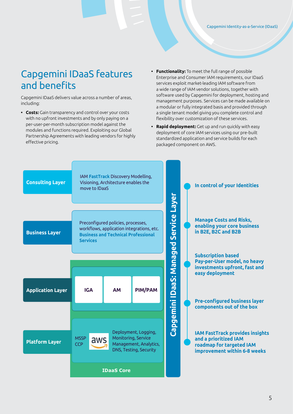### Capgemini IDaaS features and benefits

Capgemini IDaaS delivers value across a number of areas, including:

- **• Costs:** Gain transparency and control over your costs with no upfront investments and by only paying on a per-user-per-month subscription model against the modules and functions required. Exploiting our Global Partnership Agreements with leading vendors for highly effective pricing.
- **• Functionality:** To meet the full range of possible Enterprise and Consumer IAM requirements, our IDaaS services exploit market-leading IAM software from a wide range of IAM vendor solutions, together with software used by Capgemini for deployment, hosting and management purposes. Services can be made available on a modular or fully integrated basis and provided through a single tenant model giving you complete control and flexibility over customization of these services.
- **• Rapid deployment:** Get up and run quickly with easy deployment of core IAM services using our pre-built standardized application and service builds for each packaged component on AWS.

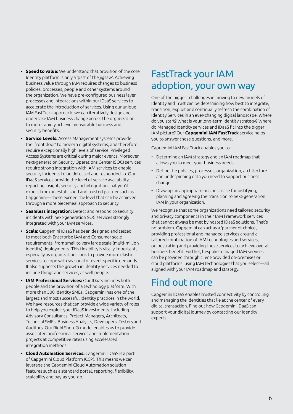- **• Speed to value:** We understand that provision of the core Identity platform is only a 'part of the jigsaw'. Achieving business value through IAM requires changes to business policies, processes, people and other systems around the organization. We have pre-configured business layer processes and integrations within our IDaaS services to accelerate the introduction of services. Using our unique IAM FastTrack approach, we can iteratively design and undertake IAM business change across the organization to more rapidly achieve measurable business and security benefits.
- **• Service Levels:** Access Management systems provide the 'front door' to modern digital systems, and therefore require exceptionally high levels of service. Privileged Access Systems are critical during major events. Moreover, next-generation Security Operations Center (SOC) services require strong integration with IAM services to enable security incidents to be detected and responded to. Our IDaaS services provide the level of service availability, reporting insight, security and integration that you'd expect from an established and trusted partner such as Capgemini—these exceed the level that can be achieved through a more piecemeal approach to security.
- **• Seamless integration:** Detect and respond to security incidents with next-generation SOC services strongly integrated with your IAM services.
- **• Scale:** Capgemini IDaaS has been designed and tested to meet both Enterprise IAM and Consumer scale requirements, from small to very large scale (multi-million identity) deployments. This flexibility is vitally important, especially as organizations look to provide more elastic services to cope with seasonal or event-specific demands. It also supports the growth in Identity Services needed to include things and services, as well people.
- **• IAM Professional Services:** Our IDaaS includes both people and the provision of a technology platform. With more than 500 Identity SMEs, Capgemini has one of the largest and most successful Identity practices in the world. We have resources that can provide a wide variety of roles to help you exploit your IDaaS investments, including Advisory Consultants, Project Managers, Architects, Technical SMEs, Business Analysts, Developers, Testers and Auditors. Our RightShore® model enables us to provide associated professional services and implementation projects at competitive rates using accelerated integration methods.
- **• Cloud Automation Services:** Capgemini IDaaS is a part of Capgemini Cloud Platform (CCP). This means we can leverage the Capgemini Cloud Automation solution features such as a standard portal, reporting, flexibility, scalability and pay-as-you-go.

### FastTrack your IAM adoption, your own way

One of the biggest challenges in moving to new models of Identity and Trust can be determining how best to integrate, transition, exploit and continually refresh the combination of Identity Services in an ever-changing digital landscape. Where do you start? What is your long-term identity strategy? Where do Managed Identity services and IDaaS fit into the bigger IAM picture? Our **Capgemini IAM FastTrack** service helps you to answer these questions, and more.

Capgemini IAM FastTrack enables you to:

- Determine an IAM strategy and an IAM roadmap that allows you to meet your business needs.
- Define the policies, processes, organization, architecture and underpinning data you need to support business change.
- Draw up an appropriate business case for justifying, planning and agreeing the transition to next-generation IAM in your organization.

We recognize that some organizations need tailored security and privacy components in their IAM Framework services that cannot always be met by hosted IDaaS solutions. That's no problem. Capgemini can act as a 'partner of choice', providing professional and managed services around a tailored combination of IAM technologies and services, orchestrating and providing these services to achieve overall business benefit. Further, bespoke managed IAM services can be provided through client-provided on-premises or cloud platforms, using IAM technologies that you select—all aligned with your IAM roadmap and strategy.

### Find out more

Capgemini IDaaS enables trusted connectivity by controlling and managing the identities that lie at the center of every digital transaction. Find out how Capgemini IDaaS can support your digital journey by contacting our identity experts.